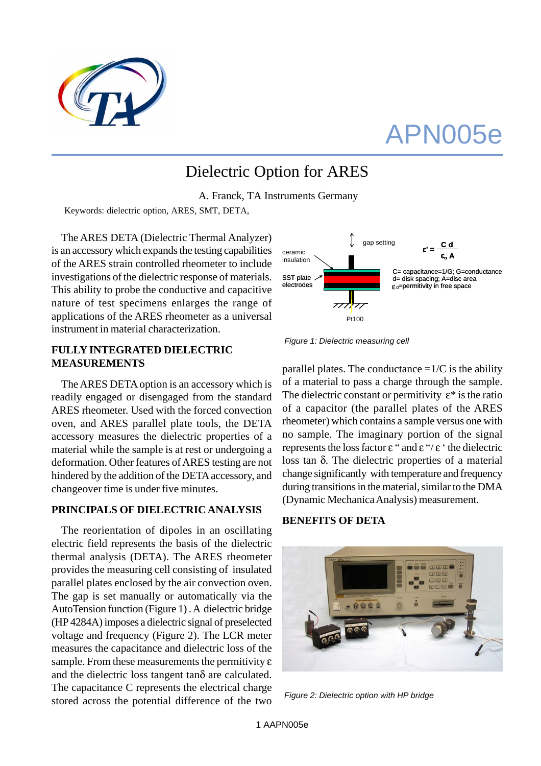

# APN005e

## Dielectric Option for ARES

A. Franck, TA Instruments Germany

Keywords: dielectric option, ARES, SMT, DETA,

The ARES DETA (Dielectric Thermal Analyzer) is an accessory which expands the testing capabilities of the ARES strain controlled rheometer to include investigations of the dielectric response of materials. This ability to probe the conductive and capacitive nature of test specimens enlarges the range of applications of the ARES rheometer as a universal instrument in material characterization.

### **FULLY INTEGRATED DIELECTRIC MEASUREMENTS**

The ARES DETA option is an accessory which is readily engaged or disengaged from the standard ARES rheometer. Used with the forced convection oven, and ARES parallel plate tools, the DETA accessory measures the dielectric properties of a material while the sample is at rest or undergoing a deformation. Other features of ARES testing are not hindered by the addition of the DETA accessory, and changeover time is under five minutes.

### **PRINCIPALS OF DIELECTRIC ANALYSIS**

The reorientation of dipoles in an oscillating electric field represents the basis of the dielectric thermal analysis (DETA). The ARES rheometer provides the measuring cell consisting of insulated parallel plates enclosed by the air convection oven. The gap is set manually or automatically via the AutoTension function (Figure 1) . A dielectric bridge (HP 4284A) imposes a dielectric signal of preselected voltage and frequency (Figure 2). The LCR meter measures the capacitance and dielectric loss of the sample. From these measurements the permitivity  $\varepsilon$ and the dielectric loss tangent tanδ are calculated. The capacitance C represents the electrical charge stored across the potential difference of the two



 *Figure 1: Dielectric measuring cell*

parallel plates. The conductance  $=1/C$  is the ability of a material to pass a charge through the sample. The dielectric constant or permitivity  $\varepsilon^*$  is the ratio of a capacitor (the parallel plates of the ARES rheometer) which contains a sample versus one with no sample. The imaginary portion of the signal represents the loss factor ε " and ε "/ ε ' the dielectric loss tan δ. The dielectric properties of a material change significantly with temperature and frequency during transitions in the material, similar to the DMA (Dynamic Mechanica Analysis) measurement.

### **BENEFITS OF DETA**



 *Figure 2: Dielectric option with HP bridge*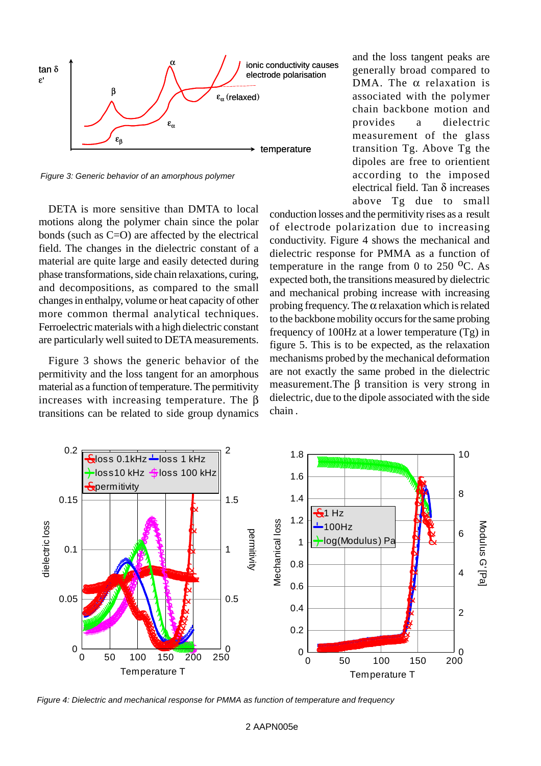

 *Figure 3: Generic behavior of an amorphous polymer*

DETA is more sensitive than DMTA to local motions along the polymer chain since the polar bonds (such as C=O) are affected by the electrical field. The changes in the dielectric constant of a material are quite large and easily detected during phase transformations, side chain relaxations, curing, and decompositions, as compared to the small changes in enthalpy, volume or heat capacity of other more common thermal analytical techniques. Ferroelectric materials with a high dielectric constant are particularly well suited to DETA measurements.

Figure 3 shows the generic behavior of the permitivity and the loss tangent for an amorphous material as a function of temperature. The permitivity increases with increasing temperature. The β transitions can be related to side group dynamics and the loss tangent peaks are generally broad compared to DMA. The  $\alpha$  relaxation is associated with the polymer chain backbone motion and provides a dielectric measurement of the glass transition Tg. Above Tg the dipoles are free to orientient according to the imposed electrical field. Tan δ increases above Tg due to small

conduction losses and the permitivity rises as a result of electrode polarization due to increasing conductivity. Figure 4 shows the mechanical and dielectric response for PMMA as a function of temperature in the range from 0 to  $250$  <sup>o</sup>C. As expected both, the transitions measured by dielectric and mechanical probing increase with increasing probing frequency. The  $\alpha$  relaxation which is related to the backbone mobility occurs for the same probing frequency of 100Hz at a lower temperature (Tg) in figure 5. This is to be expected, as the relaxation mechanisms probed by the mechanical deformation are not exactly the same probed in the dielectric measurement.The β transition is very strong in dielectric, due to the dipole associated with the side chain .



 *Figure 4: Dielectric and mechanical response for PMMA as function of temperature and frequency*

#### 2 AAPN005e